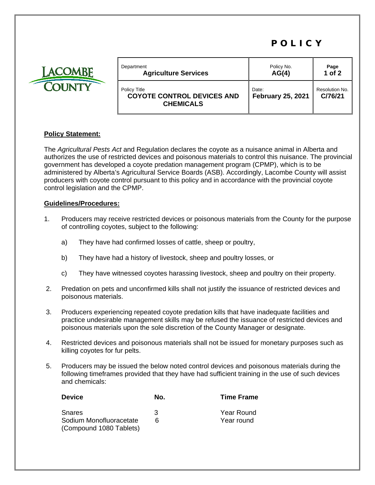## POLICY



| Department   | <b>Agriculture Services</b>       | Policy No.<br>AG(4)      | Page<br>$1$ of $2$ |
|--------------|-----------------------------------|--------------------------|--------------------|
| Policy Title | <b>COYOTE CONTROL DEVICES AND</b> | Date:                    | Resolution No.     |
|              | <b>CHEMICALS</b>                  | <b>February 25, 2021</b> | C/76/21            |

## **Policy Statement:**

The *Agricultural Pests Act* and Regulation declares the coyote as a nuisance animal in Alberta and authorizes the use of restricted devices and poisonous materials to control this nuisance. The provincial government has developed a coyote predation management program (CPMP), which is to be administered by Alberta's Agricultural Service Boards (ASB). Accordingly, Lacombe County will assist producers with coyote control pursuant to this policy and in accordance with the provincial coyote control legislation and the CPMP.

## **Guidelines/Procedures:**

- 1. Producers may receive restricted devices or poisonous materials from the County for the purpose of controlling coyotes, subject to the following:
	- a) They have had confirmed losses of cattle, sheep or poultry,
	- b) They have had a history of livestock, sheep and poultry losses, or
	- c) They have witnessed coyotes harassing livestock, sheep and poultry on their property.
- 2. Predation on pets and unconfirmed kills shall not justify the issuance of restricted devices and poisonous materials.
- 3. Producers experiencing repeated coyote predation kills that have inadequate facilities and practice undesirable management skills may be refused the issuance of restricted devices and poisonous materials upon the sole discretion of the County Manager or designate.
- 4. Restricted devices and poisonous materials shall not be issued for monetary purposes such as killing coyotes for fur pelts.
- 5. Producers may be issued the below noted control devices and poisonous materials during the following timeframes provided that they have had sufficient training in the use of such devices and chemicals:

|    | <b>Time Frame</b> |
|----|-------------------|
| ર  | Year Round        |
| ิค | Year round        |
|    | No.               |